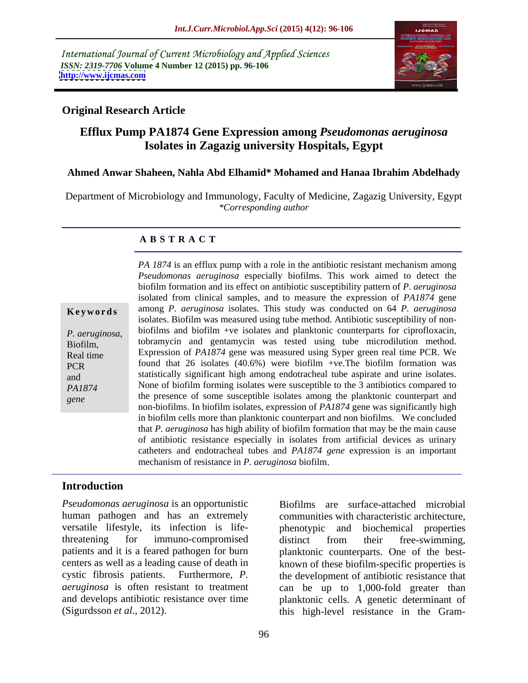International Journal of Current Microbiology and Applied Sciences *ISSN: 2319-7706* **Volume 4 Number 12 (2015) pp. 96-106 <http://www.ijcmas.com>**



# **Original Research Article**

# **Efflux Pump PA1874 Gene Expression among** *Pseudomonas aeruginosa* **Isolates in Zagazig university Hospitals, Egypt**

### **Ahmed Anwar Shaheen, Nahla Abd Elhamid\* Mohamed and Hanaa Ibrahim Abdelhady**

Department of Microbiology and Immunology, Faculty of Medicine, Zagazig University, Egypt *\*Corresponding author*

### **A B S T R A C T**

| Keywords |  |  |  |  |  |
|----------|--|--|--|--|--|
|----------|--|--|--|--|--|

*gene*

*PA 1874* is an efflux pump with a role in the antibiotic resistant mechanism among *Pseudomonas aeruginosa* especially biofilms. This work aimed to detect the biofilm formation and its effect on antibiotic susceptibility pattern of *P. aeruginosa* isolated from clinical samples, and to measure the expression of *PA1874* gene **Keywords** among *P. aeruginosa* isolates. This study was conducted on 64 *P. aeruginosa* isolates. Biofilm was measured using tube method. Antibiotic susceptibility of non biofilms and biofilm +ve isolates and planktonic counterparts for ciprofloxacin, *P. aeruginosa*, biofilms and biofilm +ve isolates and planktonic counterparts for ciprofloxacin, tobramycin and gentamycin was tested using tube microdilution method. Real time Expression of *PA1874* gene was measured using Syper green real time PCR. We found that 26 isolates (40.6%) were biofilm +ve.The biofilm formation was PCR and statistically significant high among endotracheal tube aspirate and urine isolates. PA1874 **None of biofilm forming isolates were susceptible to the 3 antibiotics compared to** the presence of some susceptible isolates among the planktonic counterpart and non-biofilms. In biofilm isolates, expression of *PA1874* gene was significantly high in biofilm cells more than planktonic counterpart and non biofilms. We concluded that *P. aeruginosa* has high ability of biofilm formation that may be the main cause of antibiotic resistance especially in isolates from artificial devices as urinary catheters and endotracheal tubes and *PA1874 gene* expression is an important mechanism of resistance in *P. aeruginosa* biofilm

# **Introduction**

*Pseudomonas aeruginosa* is an opportunistic human pathogen and has an extremely versatile lifestyle, its infection is life-phenotypic and biochemical properties threatening for immuno-compromised patients and it is a feared pathogen for burn planktonic counterparts. One of the best centers as well as a leading cause of death in known of these biofilm-specific properties is cystic fibrosis patients. Furthermore, *P.*  the development of antibiotic resistance that *aeruginosa* is often resistant to treatment can be up to 1,000-fold greater than and develops antibiotic resistance over time planktonic cells. A genetic determinant of

(Sigurdsson *et al*., 2012). this high-level resistance in the Gram-Biofilms are surface-attached microbial communities with characteristic architecture, distinct from their free-swimming,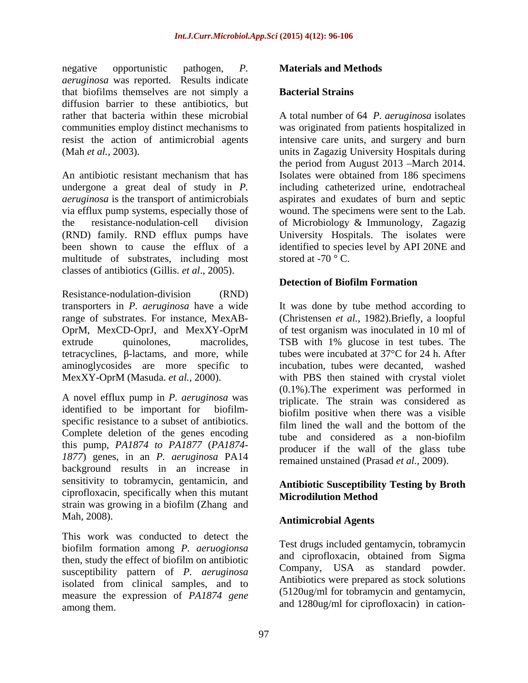negative opportunistic pathogen, *P. aeruginosa* was reported. Results indicate that biofilms themselves are not simply a diffusion barrier to these antibiotics, but resist the action of antimicrobial agents

An antibiotic resistant mechanism that has Isolates were obtained from 186 specimens undergone a great deal of study in *P. aeruginosa* is the transport of antimicrobials aspirates and exudates of burn and septic via efflux pump systems, especially those of wound. The specimens were sent to the Lab. the resistance-nodulation-cell division of Microbiology & Immunology, Zagazig (RND) family. RND efflux pumps have been shown to cause the efflux of a identified to species level by API 20NE and multitude of substrates, including most classes of antibiotics (Gillis. *et al*., 2005).

Resistance-nodulation-division (RND)

A novel efflux pump in *P. aeruginosa* was identified to be important for biofilm- biofilm positive when there was a visible specific resistance to a subset of antibiotics. Complete deletion of the genes encoding this pump, *PA1874 to PA1877* (*PA1874- 1877*) genes, in an *P. aeruginosa* PA14 background results in an increase in sensitivity to tobramycin, gentamicin, and ciprofloxacin, specifically when this mutant strain was growing in a biofilm (Zhang and Mah, 2008). **Antimicrobial Agents**

This work was conducted to detect the biofilm formation among *P. aeruogionsa* then, study the effect of biofilm on antibiotic susceptibility pattern of *P. aeruginosa* isolated from clinical samples, and to measure the expression of *PA1874 gene* among them.  $\frac{1}{2}$  and 1280ug/ml for ciprofloxacin) in cation-

# **Materials and Methods**

### **Bacterial Strains**

rather that bacteria within these microbial A total number of 64 *P. aeruginosa* isolates communities employ distinct mechanisms to was originated from patients hospitalized in (Mah *et al.,* 2003). units in Zagazig University Hospitals during intensive care units, and surgery and burn the period from August 2013 –March 2014. including catheterized urine, endotracheal University Hospitals. The isolates were stored at  $-70$  ° C.

# **Detection of Biofilm Formation**

transporters in *P. aeruginosa* have a wide It was done by tube method according to range of substrates. For instance, MexAB- (Christensen *et al.,* 1982).Briefly, a loopful OprM, MexCD-OprJ, and MexXY-OprM of test organism was inoculated in 10 ml of extrude quinolones, macrolides, TSB with 1% glucose in test tubes. The tetracyclines,  $\beta$ -lactams, and more, while tubes were incubated at 37 $\degree$ C for 24 h. After aminoglycosides are more specific to incubation, tubes were decanted, washed MexXY-OprM (Masuda. *et al.,* 2000). with PBS then stained with crystal violet (0.1%).The experiment was performed in triplicate. The strain was considered as film lined the wall and the bottom of the tube and considered as a non-biofilm producer if the wall of the glass tube remained unstained (Prasad *et al.,* 2009).

# **Antibiotic Susceptibility Testing by Broth Microdilution Method**

Test drugs included gentamycin, tobramycin and ciprofloxacin, obtained from Sigma Company, USA as standard powder. Antibiotics were prepared as stock solutions (5120ug/ml for tobramycin and gentamycin,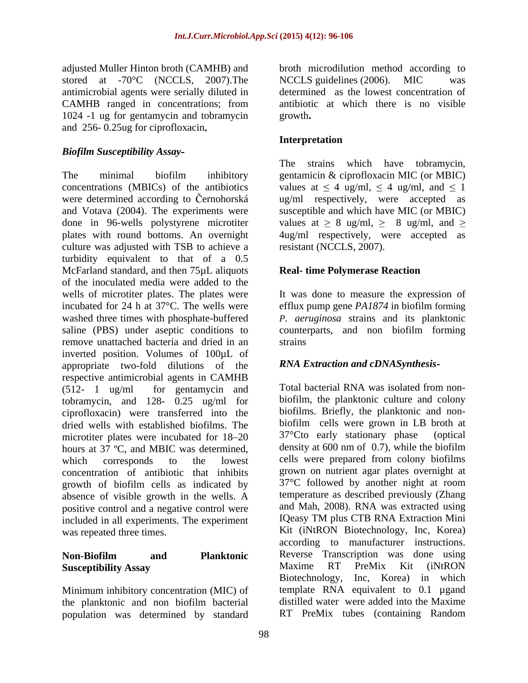stored at -70<sup>o</sup>C (NCCLS, 2007). The NCCLS guidelines (2006). MIC was antimicrobial agents were serially diluted in CAMHB ranged in concentrations; from 1024 -1 ug for gentamycin and tobramycin and 256- 0.25ug for ciprofloxacin

# *Biofilm Susceptibility Assay*

The minimal biofilm inhibitory gentamicin & ciprofloxacin MIC (or MBIC) concentrations (MBICs) of the antibiotics values at  $\leq 4$  ug/ml,  $\leq 4$  ug/ml, and  $\leq 1$ were determined according to Cernohorská ug/ml respectively, were accepted as and Votava (2004). The experiments were done in 96-wells polystyrene microtiter values at  $\geq 8$  ug/ml,  $\geq 8$  ug/ml, and  $\geq$ plates with round bottoms. An overnight culture was adjusted with TSB to achieve a turbidity equivalent to that of a 0.5 McFarland standard, and then 75µL aliquots of the inoculated media were added to the wells of microtiter plates. The plates were It was done to measure the expression of incubated for 24 h at 37°C. The wells were efflux pump gene *PA1874* in biofilm forming washed three times with phosphate-buffered *P. aeruginosa* strains and its planktonic saline (PBS) under aseptic conditions to remove unattached bacteria and dried in an inverted position. Volumes of 100µL of appropriate two-fold dilutions of the respective antimicrobial agents in CAMHB (512- 1 ug/ml for gentamycin and Total bacterial RNA was isolated from nontobramycin, and 128- 0.25 ug/ml for ciprofloxacin) were transferred into the dried wells with established biofilms. The biofilm cells were grown in LB broth at microtiter plates were incubated for  $18-20$   $37^{\circ}$ Cto early stationary phase (optical microtiter plates were incubated for 18–20 hours at 37 ºC, and MBIC was determined, which corresponds to the lowest cells were prepared from colony biofilms concentration of antibiotic that inhibits growth of biofilm cells as indicated by absence of visible growth in the wells. A positive control and a negative control were included in all experiments. The experiment

Minimum inhibitory concentration (MIC) of the planktonic and non biofilm bacterial population was determined by standard

adjusted Muller Hinton broth (CAMHB) and broth microdilution method according to NCCLS guidelines (2006). MIC was determined as the lowest concentration of antibiotic at which there is no visible growth**.**

# **Interpretation**

The strains which have tobramycin, susceptible and which have MIC (or MBIC) 4ug/ml respectively, were accepted as resistant (NCCLS, 2007).

# **Real- time Polymerase Reaction**

counterparts, and non biofilm forming strains and the strains of the strains of the strains of the strains of the strains of the strains of the strains of the strains of the strains of the strains of the strains of the strains of the strains of the strains of

# *RNA Extraction and cDNASynthesis*

was repeated three times. Kit (iNtRON Biotechnology, Inc, Korea) **Non-Biofilm and Planktonic Susceptibility Assay** Total bacterial RNA was isolated from non biofilm, the planktonic culture and colony biofilms. Briefly, the planktonic and non biofilm cells were grown in LB broth at  $37^{\circ}$ Cto early stationary phase density at 600 nm of 0.7), while the biofilm grown on nutrient agar plates overnight at 37°C followed by another night at room temperature as described previously (Zhang and Mah, 2008). RNA was extracted using IQeasy TM plus CTB RNA Extraction Mini according to manufacturer instructions. Reverse Transcription was done using Maxime RT PreMix Kit (iNtRON Biotechnology, Inc, Korea) in which template RNA equivalent to 0.1 ugand distilled water were added into the Maxime RT PreMix tubes (containing Random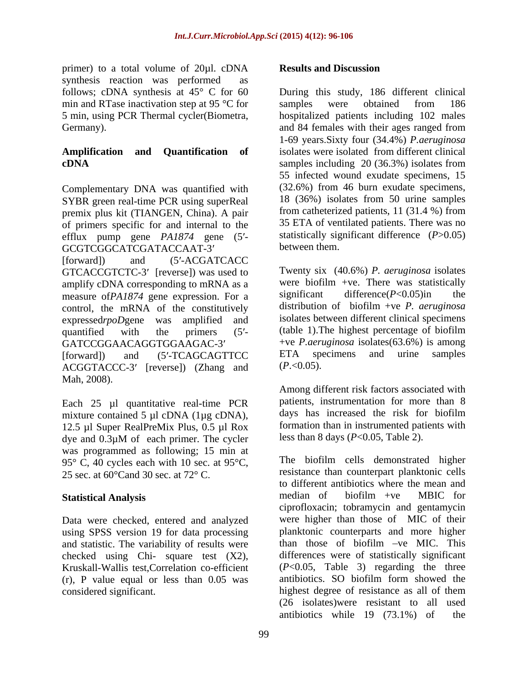primer) to a total volume of 20µl. cDNA **Results and Discussion** synthesis reaction was performed as<br>follows: cDNA synthesis at  $45^{\circ}$  C for 60 min and RTase inactivation step at 95 °C for samples were obtained from 186

Complementary DNA was quantified with SYBR green real-time PCR using superReal 18 (36%) isolates from 50 urine samples<br>premix plus kit (TIANGEN China) A pair from catheterized patients, 11 (31.4 %) from premix plus kit (TIANGEN, China). A pair of primers specific for and internal to the efflux pump gene *PA1874* gene (5'-<br>GCGTCGGCATCGATACCAAT-3' between them. GCGTCGGCATCGATACCAAT-3'

[forward]) and  $(5'$ -ACGATCACC GTCACCGTCTC-3' [reverse]) was used to amplify cDNA corresponding to mRNA as a were biofilm +ve. There was statistically<br>measure of  $PA1874$  gene expression. For a significant difference  $(P<0.05)$  in the measure of*PA1874* gene expression. For a control, the mRNA of the constitutively expressedrpoDgene was amplified and isolates between different clinical specimens quantified with the primers (5'- (table 1). The highest percentage of biofilm GATCCGGAACAGGTGGAAGAC-3' +ve *P.aeruginosa* isolates(63.6%) is among

 $\triangle CGGTACCC-3'$  [reverse]) (Zhang and  $(P.<0.05)$ . Mah, 2008).

Each 25 µl quantitative real-time PCR mixture contained 5 µl cDNA (1µg cDNA), 12.5 µl Super RealPreMix Plus, 0.5 µl Rox dye and  $0.3\mu$ M of each primer. The cycler less than 8 days ( $P<0.05$ , Table 2). was programmed as following; 15 min at 95 $\degree$  C, 40 cycles each with 10 sec. at 95 $\degree$ C,

Data were checked, entered and analyzed using SPSS version 19 for data processing and statistic. The variability of results were (r), P value equal or less than 0.05 was considered significant. The highest degree of resistance as all of them

### **Results and Discussion**

follows; cDNA synthesis at 45° C for 60 During this study, 186 different clinical 5 min, using PCR Thermal cycler(Biometra, hospitalized patients including 102 males Germany). and 84 females with their ages ranged from **Amplification and Quantification of** isolates were isolated from different clinical **cDNA** samples including 20 (36.3%) isolates from samples were obtained from 186 1-69 years Sixty four (34.4%) *P.aeruginosa* 55 infected wound exudate specimens, 15 (32.6%) from 46 burn exudate specimens, 18 (36%) isolates from 50 urine samples from catheterized patients, 11 (31.4 %) from 35 ETA of ventilated patients. There was no statistically significant difference (*P*>0.05) between them.

[forward]) and (5'-TCAGCAGTTCC ETA specimens and urine samples Twenty six (40.6%) *P. aeruginosa* isolates were biofilm +ve. There was statistically significant difference(*P*<0.05)in the distribution of biofilm +ve *P. aeruginosa* ETA specimens and urine samples (*P*.<0.05).

> Among different risk factors associated with patients, instrumentation for more than 8 days has increased the risk for biofilm formation than in instrumented patients with less than 8 days (*P*<0.05, Table 2).

25 sec. at  $60^{\circ}$ Cand 30 sec. at  $72^{\circ}$  C. Tesistance than counterpart planktonic cells **Statistical Analysis** median of biofilm +ve MBIC for checked using Chi- square test  $(X2)$ , differences were of statistically significant<br>Kruskall-Wallis test,Correlation co-efficient  $(P<0.05,$  Table 3) regarding the three The biofilm cells demonstrated higher resistance than counterpart planktonic cells to different antibiotics where the mean and median of biofilm +ve MBIC for ciprofloxacin; tobramycin and gentamycin were higher than those of MIC of their planktonic counterparts and more higher than those of biofilm  $-ve$  MIC. This differences were of statistically significant (*P*<0.05, Table 3) regarding the three antibiotics. SO biofilm form showed the highest degree of resistance as all of them (26 isolates)were resistant to all used antibiotics while 19 (73.1%) of the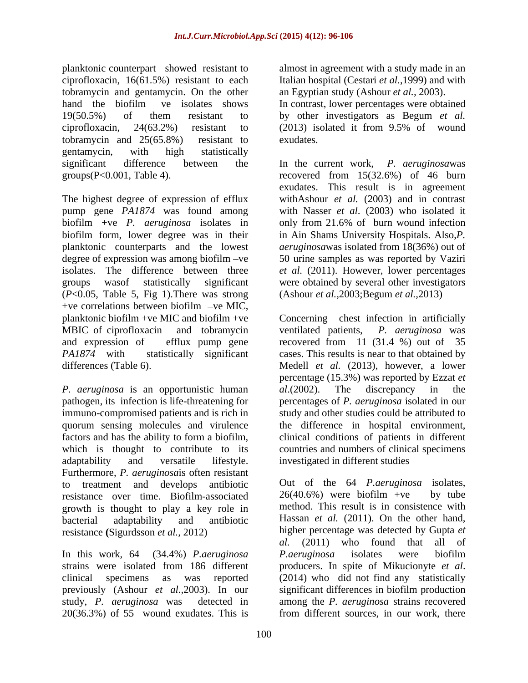planktonic counterpart showed resistant to ciprofloxacin, 16(61.5%) resistant to each Italian hospital (Cestari *et al.*,1999) and with tobramycin and gentamycin. On the other hand the biofilm -ve isolates shows In contrast, lower percentages were obtained 19(50.5%) of them resistant to by other investigators as Begum *et al.* ciprofloxacin, 24(63.2%) resistant to tobramycin and 25(65.8%) resistant to gentamycin, with high statistically

The highest degree of expression of efflux withAshour *et al.* (2003) and in contrast pump gene *PA1874* was found among with Nasser *et al*. (2003) who isolated it biofilm +ve *P. aeruginosa* isolates in only from 21.6% of burn wound infection biofilm form, lower degree was in their in Ain Shams University Hospitals. Also,*P.*  planktonic counterparts and the lowest *aeruginosa*was isolated from 18(36%) out of degree of expression was among biofilm -ve 50 urine samples as was reported by Vaziri isolates. The difference between three *et al.* (2011). However, lower percentages groups wasof statistically significant were obtained by several other investigators (*P*<0.05, Table 5, Fig 1).There was strong  $+ve$  correlations between biofilm  $-ve$  MIC,

*P. aeruginosa* is an opportunistic human al. (2002). The discrepancy in the adaptability and versatile lifestyle. investigated in different studies Furthermore, *P. aeruginosa*is often resistant to treatment and develops antibiotic but of the  $64$  *P. aeruginosa* isolates, resistance over time Biofilm-associated  $26(40.6\%)$  were biofilm +ve by tube resistance over time. Biofilm-associated growth is thought to play a key role in

clinical specimens as was reported previously (Ashour *et al.,*2003). In our 20(36.3%) of 55 wound exudates. This is

almost in agreement with a study made in an an Egyptian study (Ashour *et al.,* 2003).

(2013) isolated it from 9.5% of wound exudates.

significant difference between the In the current work, *P. aeruginosa*was groups(P<0.001, Table 4). recovered from 15(32.6%) of 46 burn exudates. This result is in agreement (Ashour *et al.,*2003;Begum *et al.,*2013)

planktonic biofilm +ve MIC and biofilm +ve Concerning chest infection in artificially MBIC of ciprofloxacin and tobramycin ventilated patients, P. aeruginosa was and expression of efflux pump gene recovered from 11 (31.4 %) out of 35 *PA1874* with statistically significant cases. This results is near to that obtained by differences (Table 6) Medell *et al.* (2013), however, a lower pathogen, its infection is life-threatening for percentages of *P. aeruginosa* isolated in our immuno-compromised patients and is rich in study and other studies could be attributed to quorum sensing molecules and virulence the difference in hospital environment, factors and has the ability to form a biofilm, clinical conditions of patients in different which is thought to contribute to its countries and numbers of clinical specimens ventilated patients, *P. aeruginosa* was percentage (15.3%) was reported by Ezzat *et al*.(2002). The discrepancy in the

bacterial adaptability and antibiotic Hassan *et al.* (2011). On the other hand, resistance **(**Sigurdsson *et al.,* 2012) higher percentage was detected by Gupta *et*  In this work, 64 (34.4%) *P.aeruginosa P.aeruginosa* isolates were biofilm<br>strains were isolated from 186 different producers. In spite of Mikucionyte *et al*. study, *P. aeruginosa* was detected in among the *P. aeruginosa* strains recovered Out of the 64 *P.aeruginosa* isolates,  $26(40.6%)$  were biofilm +ve by tube method. This result is in consistence with *al.* (2011) who found that all of *P.aeruginosa* isolates were biofilm producers. In spite of Mikucionyte*et al*. (2014) who did not find any statistically significant differences in biofilm production from different sources, in our work, there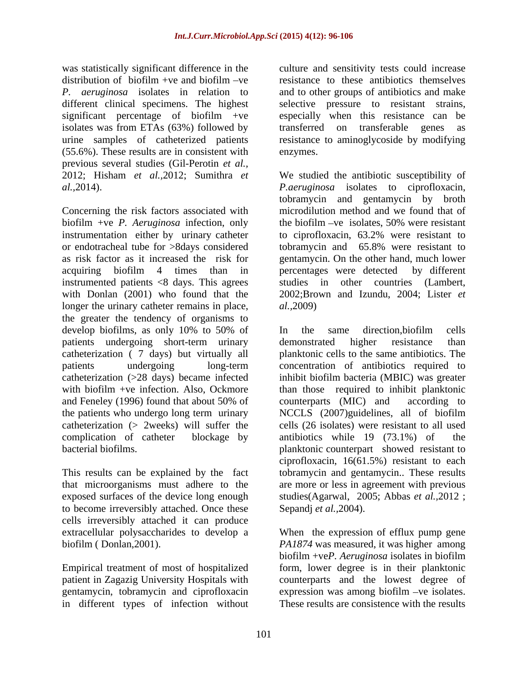was statistically significant difference in the culture and sensitivity tests could increase distribution of biofilm +ve and biofilm -ve resistance to these antibiotics themselves *P. aeruginosa* isolates in relation to and to other groups of antibiotics and make different clinical specimens. The highest significant percentage of biofilm +ve especially when this resistance can be isolates was from ETAs (63%) followed by transferred on transferable genes as urine samples of catheterized patients resistance to aminoglycoside by modifying (55.6%). These results are in consistent with previous several studies (Gil-Perotin *et al.,* 

Concerning the risk factors associated with biofilm +ve *P. Aeruginosa* infection, only instrumentation either by urinary catheter to ciprofloxacin, 63.2% were resistant to or endotracheal tube for >8days considered tobramycin and 65.8% were resistant to as risk factor as it increased the risk for gentamycin. On the other hand, much lower acquiring biofilm 4 times than in percentages were detected by different instrumented patients <8 days. This agrees with Donlan (2001) who found that the longer the urinary catheter remains in place,  $al., 2009)$ the greater the tendency of organisms to develop biofilms, as only 10% to 50% of In the same direction, biofilm cells patients undergoing short-term urinary demonstrated higher resistance than catheterization ( 7 days) but virtually all

exposed surfaces of the device long enough to become irreversibly attached. Once these cells irreversibly attached it can produce

gentamycin, tobramycin and ciprofloxacin in different types of infection without

selective pressure to resistant strains, transferred on transferable enzymes.

2012; Hisham *et al.,*2012; Sumithra *et*  We studied the antibiotic susceptibility of *al.,*2014). *P.aeruginosa* isolates to ciprofloxacin, tobramycin and gentamycin by broth microdilution method and we found that of the biofilm  $-ve$  isolates, 50% were resistant percentages were detected studies in other countries (Lambert, 2002;Brown and Izundu, 2004; Lister *et al.,*2009)

patients undergoing long-term concentration of antibiotics required to catheterization (>28 days) became infected inhibit biofilm bacteria (MBIC) was greater with biofilm +ve infection. Also, Ockmore than those required to inhibit planktonic and Feneley (1996) found that about 50% of counterparts (MIC) and according to the patients who undergo long term urinary NCCLS (2007)guidelines, all of biofilm catheterization (> 2weeks) will suffer the cells (26 isolates) were resistant to all used complication of catheter blockage by antibiotics while 19 (73.1%) of the bacterial biofilms. planktonic counterpart showed resistant to This results can be explained by the fact tobramycin and gentamycin.. These results that microorganisms must adhere to the are more or less in agreement with previous In the same direction,biofilm cells demonstrated higher resistance than planktonic cells to the same antibiotics. The counterparts (MIC) and according to ciprofloxacin, 16(61.5%) resistant to each studies(Agarwal, 2005; Abbas *et al.,*2012 ; Sepandj *et al.,*2004).

extracellular polysaccharides to develop a When the expression of efflux pump gene biofilm ( Donlan,2001). *PA1874* was measured, it was higher among Empirical treatment of most of hospitalized form, lower degree is in their planktonic patient in Zagazig University Hospitals with counterparts and the lowest degree of biofilm +ve*P. Aeruginosa* isolates in biofilm expression was among biofilm -ve isolates. These results are consistence with the results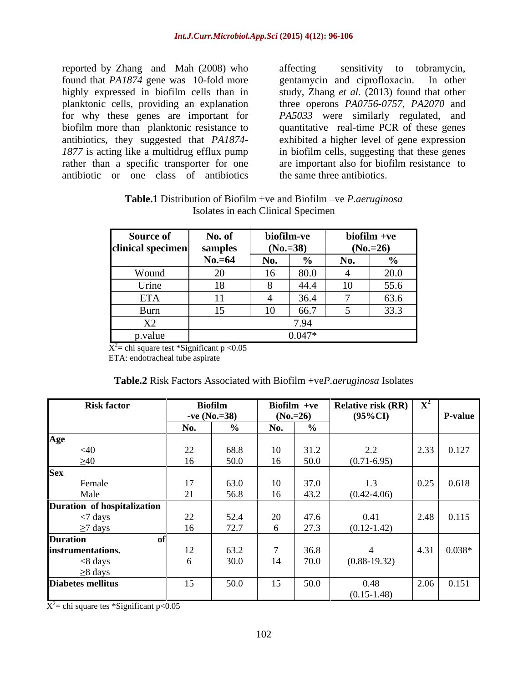reported by Zhang and Mah (2008) who found that *PA1874* gene was 10-fold more gentamycin and ciprofloxacin. In other planktonic cells, providing an explanation antibiotic or one class of antibiotics

highly expressed in biofilm cells than in study, Zhang *et al.* (2013) found that other for why these genes are important for *PA5033* were similarly regulated, and biofilm more than planktonic resistance to quantitative real-time PCR of these genes antibiotics, they suggested that *PA1874-* exhibited a higher level of gene expression *1877* is acting like a multidrug efflux pump in biofilm cells, suggesting that these genes rather than a specific transporter for one are important also for biofilm resistance to sensitivity to tobramycin, gentamycin and ciprofloxacin. three operons *PA0756-0757*, *PA2070* and the same three antibiotics.

| Table.1 Distribution<br>∟ Biofilm –<br>it B10t1lm<br>P.aeruginosa<br><u>υ</u> .<br>$\cdots$ +ve and                                                                                                                                                                                                                                  |  |
|--------------------------------------------------------------------------------------------------------------------------------------------------------------------------------------------------------------------------------------------------------------------------------------------------------------------------------------|--|
| . Himir<br>es in each<br>$\Gamma$ <i>Nacima</i> .<br>отате:<br>peemien<br>$C$ <i>Multure</i><br><u>in the contract of the contract of the contract of the contract of the contract of the contract of the contract of the contract of the contract of the contract of the contract of the contract of the contract of the contra</u> |  |

| <b>Source of</b>        | - No. of<br>$\sim$ $\sim$ $\sim$ | biofilm-ve |          | biofilm +ve |              |
|-------------------------|----------------------------------|------------|----------|-------------|--------------|
| $clinical\,\,specimen $ |                                  | $(N_0=38)$ |          | $(No.=26)$  |              |
|                         | $\mathbf{r}$<br>$No.=64$         |            |          |             | $\mathbf{Q}$ |
| Wound                   |                                  |            | 80.0     |             | 20.0         |
| mina                    |                                  |            |          |             | 55.6         |
| <b>ETA</b>              |                                  |            | 36.4     |             | 63.6         |
| – Burr                  |                                  |            |          |             | 33.3         |
| X2                      |                                  |            |          |             |              |
| p.value                 |                                  |            | $0.017*$ |             |              |

 $X^2$  chi square test \*Significant p <0.05  $\overline{X^2}$  chi square test \*Significant p < 0.05

ETA: endotracheal tube aspirate

| <b>Table.2</b> Risk Factors Associated with Biofilm +veP.aeruginosa Isolates |  |
|------------------------------------------------------------------------------|--|
|                                                                              |  |

| <b>Risk factor</b>                                     |                | Biofilm       | Biofilm +ve |               | Relative risk $(RR)$ $\overline{X}^2$ |                     |
|--------------------------------------------------------|----------------|---------------|-------------|---------------|---------------------------------------|---------------------|
|                                                        |                | $-ve(N_0=38)$ | $(No.=26)$  |               | $(95\%CI)$                            | P-value             |
|                                                        | No.            |               | No.         |               |                                       |                     |
| Age                                                    |                |               |             |               |                                       |                     |
| $\leq 40$                                              | $22\,$         | 68.8          | 10          |               | 2.2                                   | $2.33 \mid 0.127$   |
| >40                                                    |                | 50.0          |             | 50.0          | $(0.71 - 6.95)$                       |                     |
| <b>Sex</b>                                             |                |               |             |               |                                       |                     |
| Female                                                 | 1 <sub>7</sub> | 63.0          | 10          | 270           | 1.3                                   | $0.25$ 0.618        |
| Male                                                   |                | 56.8          | 16          | 43.2          | $(0.42 - 4.06)$                       |                     |
| Duration of hospitalization                            |                |               |             |               |                                       |                     |
| $\langle 7 \text{ days}$                               | 22             | 52.4          | 20          | 47.6          | 0.41                                  | $2.48$ 0.115        |
| $\geq$ 7 days                                          |                | 727<br>12.1   |             | $\sim$ $\sim$ | $(0.12 - 1.42)$                       |                     |
| <b>Duration</b>                                        |                |               |             |               |                                       |                     |
| instrumentations.                                      |                | 63.2          |             | 36.8          |                                       | $1.31 \ 0.038*$     |
| $< 8$ days                                             |                | 30.0          | 14          | 70.0          | $(0.88-19.32)$                        |                     |
|                                                        |                |               |             |               |                                       |                     |
| $\frac{\geq 8 \text{ days}}{\text{Diabetes mellitus}}$ | 15             | 50.0          |             | 50.0          | 0.48                                  | $.06 \,   \, 0.151$ |
|                                                        |                |               | 1J          |               | $(0.15 - 1.48)$                       |                     |

 $\overline{X^2}$  chi square tes \*Significant p<0.05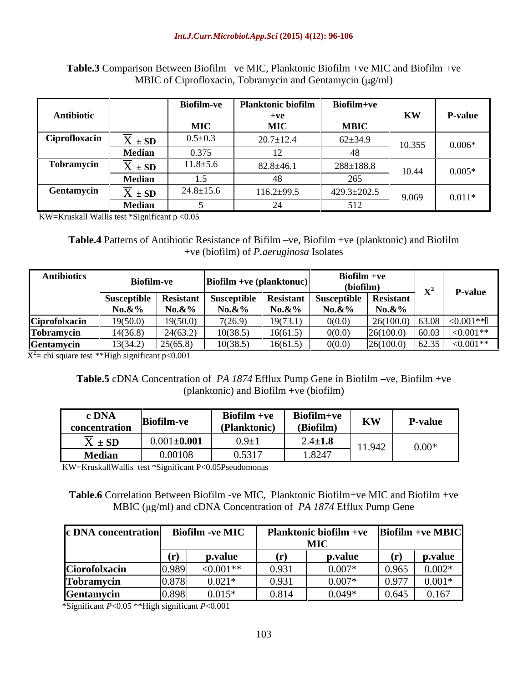|               |                  |                | Biofilm-ve   Planktonic biofilm | Biofilm+ve        |           |                |
|---------------|------------------|----------------|---------------------------------|-------------------|-----------|----------------|
| Antibiotic    |                  |                | $+ve$                           |                   | <b>KW</b> | <b>P-value</b> |
|               |                  | MTC            | $\bf{MIC}$                      | <b>MRIC</b>       |           |                |
| Ciprofloxacin | $X \pm SD$       | $0.5 \pm 0.3$  | $20.7 \pm 12.4$                 | $62 \pm 34.9$     |           |                |
|               | <b>Median</b>    | 0.375          |                                 |                   | 10.355    | $0.006*$       |
| Tobramycin    | $\Lambda \pm SD$ | $11.8 \pm 5.6$ | $82.8 \pm 46.1$                 | $288 \pm 188.8$   |           |                |
|               | <b>Median</b>    |                |                                 |                   |           | $0.005*$       |
| Gentamycin    | $X \pm SD$       | $24.8 \pm 15.$ | $116.2 \pm 99.5$                | $429.3 \pm 202.5$ |           |                |
|               | <b>Median</b>    |                |                                 |                   | 9.069     | $0.011*$       |

Table.3 Comparison Between Biofilm -ve MIC, Planktonic Biofilm +ve MIC and Biofilm +ve MBIC of Ciprofloxacin, Tobramycin and Gentamycin  $(\mu g/ml)$ 

KW=Kruskall Wallis test \*Significant p <0.05

**Table.4** Patterns of Antibiotic Resistance of Bifilm -ve, Biofilm +ve (planktonic) and Biofilm +ve (biofilm) of *P.aeruginosa* Isolates

| <b>Antibiotics</b> |                                                                             |                       | Biofilm +ve (planktonuc) |            | $Biofilm +ve$<br>(biofilm  |                               |                        |
|--------------------|-----------------------------------------------------------------------------|-----------------------|--------------------------|------------|----------------------------|-------------------------------|------------------------|
|                    | Susceptible   Resistant   Susceptible   Resistant   Susceptible   Resistant |                       | $No.\&\%$                | $N_0.\&\%$ |                            |                               | r-value                |
| Ciprofolxacin      | <b>No.&amp;%</b><br>19(50.0)                                                | $No. &\%$<br>19(50.0) | 7(26.9)                  | 19(73.1)   | <b>No.&amp;%</b><br>0(0.0) | <b>No.&amp;%</b><br>26(100.0) | $63.08$ $\leq 0.001**$ |
| Tobramycin         | 14(36.8)                                                                    | 24(63.2)              | 10(38.5)                 | 16(61.5)   | 0(0.0)                     | 26(100.0)                     | $< 0.001$ **           |
| Gentamycin         | 13(34.2)                                                                    | 25(65.8)              | 10(38.5)                 | 16(61.5)   | 0(0.0)                     | 26(100.0)                     | $ 62.35  < 0.001**$    |

 $\overline{X^2}$  chi square test \*\*High significant p<0.001

### **Table.5** cDNA Concentration of *PA 1874* Efflux Pump Gene in Biofilm –ve, Biofilm +ve (planktonic) and Biofilm +ve (biofilm)

| $\begin{array}{cc} \hbox{c DNA} \\ \hbox{Biofilm-ve} \end{array}$ |                         | Biofilm +ve   Biofilm+v |                       |                |
|-------------------------------------------------------------------|-------------------------|-------------------------|-----------------------|----------------|
| <b>concentration</b>                                              |                         | $(D \cdot \mathbf{h} +$ | $(D^*, \mathfrak{E})$ | KW   P-value   |
| $X \pm SD$                                                        | $\big  0.001 \pm 0.001$ |                         | $2.4 \pm 1.8$         |                |
| Median                                                            | 0.00108                 | 0.5317                  | 1.8247                | $11.942$ 0.00* |

KW=KruskallWallis test \*Significant P<0.05Pseudomonas

**Table.6** Correlation Between Biofilm -ve MIC, Planktonic Biofilm+ve MIC and Biofilm +ve MBIC ( $\mu$ g/ml) and cDNA Concentration of *PA 1874* Efflux Pump Gene

| c DNA concentration Biofilm - ve MIC |        |              |       | <b>Planktonic biofilm +ve</b> $\left  \text{Biofilm +ve MBIC} \right $ |                           |          |
|--------------------------------------|--------|--------------|-------|------------------------------------------------------------------------|---------------------------|----------|
|                                      |        |              |       | <b>MIC</b>                                                             |                           |          |
|                                      | (r)    | p.value      |       | p.value                                                                |                           | p.value  |
| Ciorofolxacin                        |        | ${<}0.001**$ | 0.931 | $0.007*$                                                               | 0.965                     | $0.002*$ |
| Tobramycin                           |        | $0.021*$     | 0.931 | $0.007*$                                                               | $\Omega$ $\Omega$<br>0.91 | $0.001*$ |
| <b>Gentamycin</b>                    | IN 808 | $0.015*$     | 0.814 | $0.049*$                                                               | 0.645                     | 0.167    |

\*Significant *P*<0.05 \*\*High significant *P*<0.001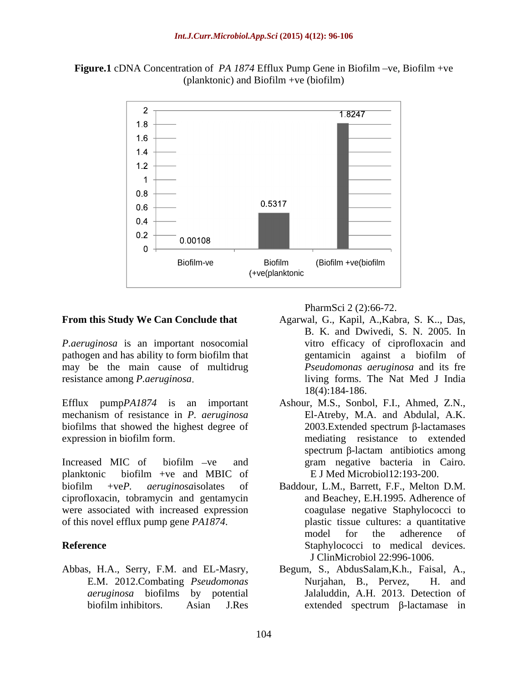



*P.aeruginosa* is an important nosocomial pathogen and has ability to form biofilm that may be the main cause of multidrug

Efflux pump*PA1874* is an important Ashour, M.S., Sonbol, F.I., Ahmed, Z.N., mechanism of resistance in *P. aeruginosa* biofilms that showed the highest degree of

Increased MIC of biofilm -ve and **ramegative** bacteria in Cairo. planktonic biofilm +ve and MBIC of ciprofloxacin, tobramycin and gentamycin were associated with increased expression of this novel efflux pump gene *PA1874*.

*aeruginosa* biofilms by potential

PharmSci 2 (2):66-72.

- **From this Study We Can Conclude that** Agarwal, G., Kapil, A.,Kabra, S. K.., Das, resistance among *P.aeruginosa* living forms. The Nat Med J India B. K. and Dwivedi, S. N. 2005. In vitro efficacy of ciprofloxacin and gentamicin against a biofilm of *Pseudomonas aeruginosa* and its fre 18(4):184-186.
- expression in biofilm form. The expression in biofilm form. Ashour, M.S., Sonbol, F.I., Ahmed, Z.N., El-Atreby, M.A. and Abdulal, A.K.  $2003$ . Extended spectrum  $\beta$ -lactamases mediating resistance to extended spectrum  $\beta$ -lactam antibiotics among gram negative bacteria in Cairo. E J Med Microbiol12:193-200.
- biofilm +ve*P. aeruginosa*isolates of Baddour, L.M., Barrett, F.F., Melton D.M. **Reference** Staphylococci to medical devices. and Beachey, E.H.1995. Adherence of coagulase negative Staphylococci to plastic tissue cultures: a quantitative model for the adherence of J ClinMicrobiol 22:996-1006.
- Abbas, H.A., Serry, F.M. and EL-Masry, Begum, S., AbdusSalam,K.h., Faisal, A., E.M. 2012.Combating *Pseudomonas*  biofilm inhibitors. Asian J.Res extended spectrum  $\beta$ -lactamase in Nurjahan, B., Pervez, H. and Jalaluddin, A.H. 2013. Detection of  $extended$  spectrum  $\beta$ -lactamase in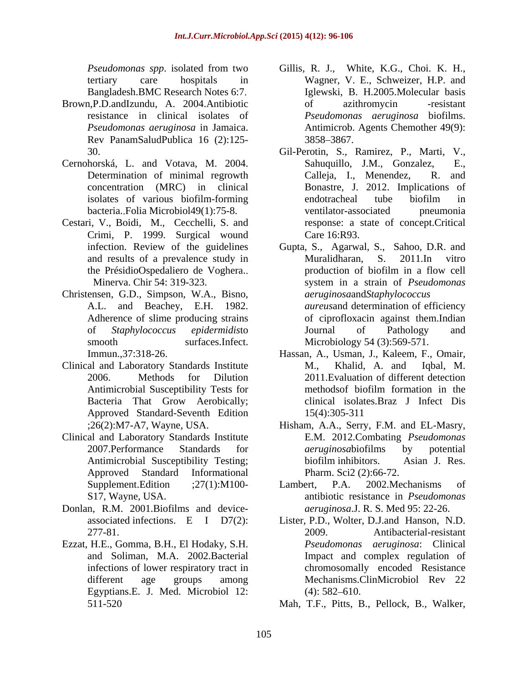- Brown,P.D.andIzundu, A. 2004.Antibiotic Rev PanamSaludPublica 16 (2):125-
- 
- Cestari, V., Boidi, M., Cecchelli, S. and Crimi, P. 1999. Surgical wound
- Christensen, G.D., Simpson, W.A., Bisno, smooth surfaces.Infect. Microbiology 54 (3):569-571.
- Clinical and Laboratory Standards Institute M., Khalid, A. and Iqbal, M. Bacteria That Grow Aerobically; Approved Standard-Seventh Edition
- Clinical and Laboratory Standards Institute
- Donlan, R.M. 2001.Biofilms and device-
- Ezzat, H.E., Gomma, B.H., El Hodaky, S.H.<br>and Soliman, M.A. 2002.Bacterial infections of lower respiratory tract in Egyptians.E. J. Med. Microbiol 12: (4): 582–610.
- *Pseudomonas spp*. isolated from two Gillis, R. J., White, K.G., Choi. K. H., tertiary care hospitals in Wagner, V. E., Schweizer, H.P. and Bangladesh.BMC Research Notes 6:7 Iglewski, B. H.2005.Molecular basis resistance in clinical isolates of *Pseudomonas aeruginosa* biofilms. *Pseudomonas aeruginosa* in Jamaica. Antimicrob. Agents Chemother 49(9): of azithromycin -resistant 3858 3867.
- 30. Gil-Perotin, S., Ramirez, P., Marti, V., Cernohorská, L. and Votava, M. 2004. Determination of minimal regrowth Calleja, I., Menendez, R. and concentration (MRC) in clinical Bonastre, J. 2012. Implications of isolates of various biofilm-forming bacteria. Folia Microbiol49(1):75-8. Sahuquillo, J.M., Gonzalez, Calleja, I., Menendez, R. and endotracheal tube biofilm in ventilator-associated pneumonia response: a state of concept.Critical Care 16:R93.
	- infection. Review of the guidelines Gupta, S., Agarwal, S., Sahoo, D.R. and and results of a prevalence study in Muralidharan, S. 2011. In vitro the PrésidioOspedaliero de Voghera.. production of biofilm in a flow cell<br>Minerva. Chir 54: 319-323. system in a strain of *Pseudomonas* system in a strain of Pseudomonas A.L. and Beachey, E.H. 1982. *aureus*and determination of efficiency Adherence of slime producing strains of ciprofloxacin against them.Indian of *Staphylococcus epidermidis*to Muralidharan, S. 2011.In vitro production of biofilm in a flow cell system in a strain of *Pseudomonas aeruginosa*and*Staphylococcus*  Journal of Pathology and
	- Immun.,37:318-26. Hassan, A., Usman, J., Kaleem, F., Omair, 2006. Methods for Dilution 2011.Evaluation of different detection Antimicrobial Susceptibility Tests for methods biofilm formation in the M., Khalid, A. and Iqbal, M. methodsof biofilm formation in the clinical isolates.Braz J Infect Dis 15(4):305-311
	- ;26(2):M7-A7, Wayne, USA. Hisham, A.A., Serry, F.M. and EL-Masry, 2007. Performance Standards for *aeruginosa* biofilms by potential Antimicrobial Susceptibility Testing; biofilm inhibitors. Asian J. Res. Approved Standard Informational E.M. 2012.Combating *Pseudomonas aeruginosa*biofilms by potential biofilm inhibitors. Asian J. Res. Pharm. Sci2 (2):66-72.
	- Supplement.Edition ;27(1):M100- Lambert, P.A. 2002.Mechanisms of S17, Wayne, USA. antibiotic resistance in *Pseudomonas*  Lambert, P.A. 2002.Mechanisms of *aeruginosa*.J. R. S. Med 95: 22-26.
	- associated infections. E I D7(2): Lister, P.D., Wolter, D.J.and Hanson, N.D. 277-81. 2009. Antibacterial-resistant and Soliman, M.A. 2002.Bacterial Impact and complex regulation of different age groups among Mechanisms.ClinMicrobiol Rev 22 *Pseudomonas aeruginosa*: Clinical chromosomally encoded Resistance  $(4)$ : 582–610.
	- 511-520 Mah, T.F., Pitts, B., Pellock, B., Walker,